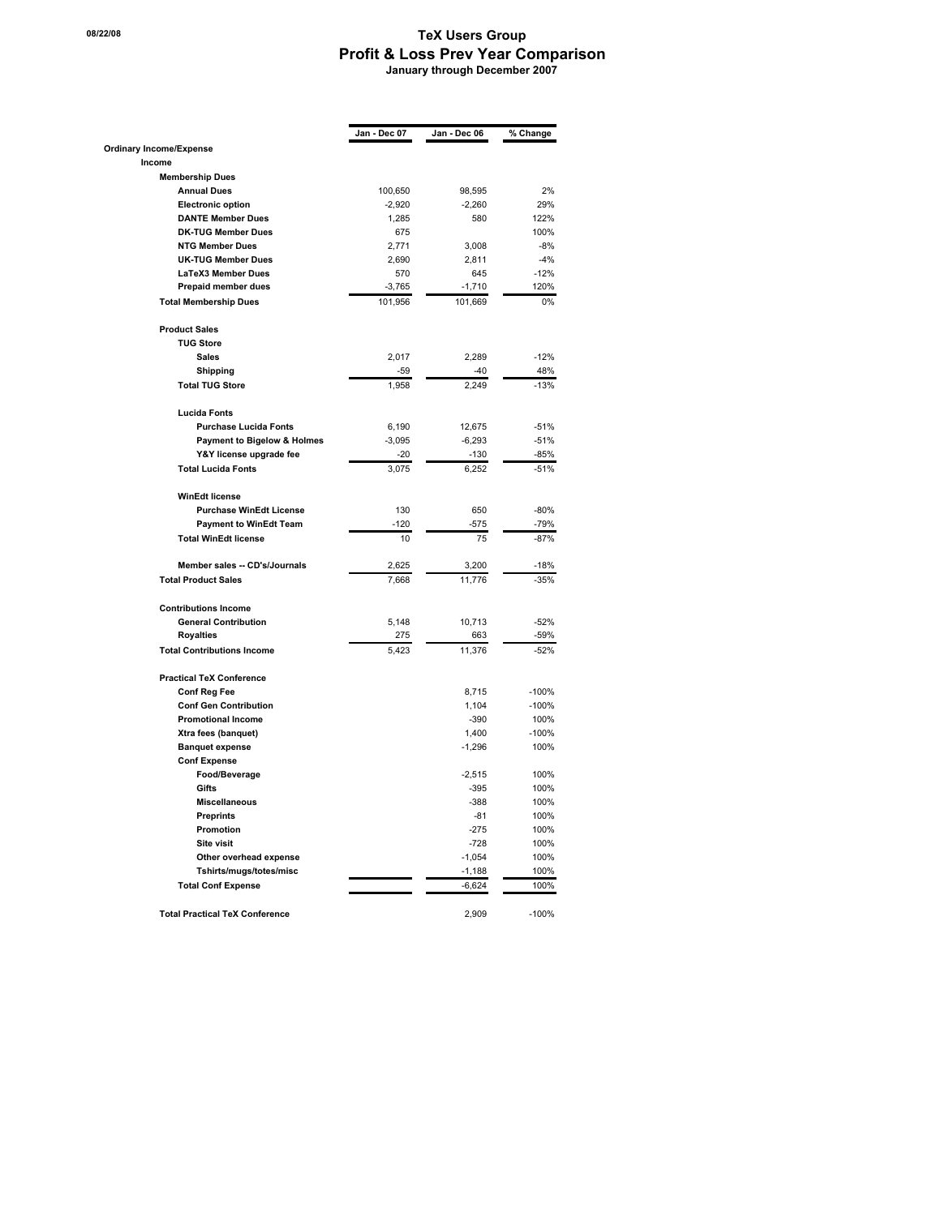## **18/22/08 TeX Users Group Profit & Loss Prev Year Comparison January through December 2007**

|                                       | Jan - Dec 07 | Jan - Dec 06 | % Change |
|---------------------------------------|--------------|--------------|----------|
| <b>Ordinary Income/Expense</b>        |              |              |          |
| Income                                |              |              |          |
| <b>Membership Dues</b>                |              |              |          |
| <b>Annual Dues</b>                    | 100,650      | 98,595       | 2%       |
| <b>Electronic option</b>              | $-2,920$     | $-2,260$     | 29%      |
| <b>DANTE Member Dues</b>              | 1,285        | 580          | 122%     |
| <b>DK-TUG Member Dues</b>             | 675          |              | 100%     |
| <b>NTG Member Dues</b>                | 2,771        | 3,008        | $-8%$    |
| <b>UK-TUG Member Dues</b>             | 2,690        | 2,811        | $-4%$    |
| <b>LaTeX3 Member Dues</b>             | 570          | 645          | $-12%$   |
| Prepaid member dues                   | $-3,765$     | $-1,710$     | 120%     |
| <b>Total Membership Dues</b>          | 101,956      | 101,669      | 0%       |
| <b>Product Sales</b>                  |              |              |          |
| <b>TUG Store</b>                      |              |              |          |
| <b>Sales</b>                          | 2,017        | 2,289        | $-12%$   |
| Shipping                              | -59          | $-40$        | 48%      |
| <b>Total TUG Store</b>                | 1,958        | 2,249        | $-13%$   |
| <b>Lucida Fonts</b>                   |              |              |          |
| <b>Purchase Lucida Fonts</b>          | 6,190        | 12,675       | $-51%$   |
| Payment to Bigelow & Holmes           | $-3,095$     | $-6,293$     | $-51%$   |
| Y&Y license upgrade fee               | $-20$        | $-130$       | $-85%$   |
| <b>Total Lucida Fonts</b>             | 3,075        | 6,252        | $-51%$   |
| <b>WinEdt license</b>                 |              |              |          |
| <b>Purchase WinEdt License</b>        | 130          | 650          | $-80%$   |
| <b>Payment to WinEdt Team</b>         | $-120$       | $-575$       | -79%     |
| <b>Total WinEdt license</b>           | 10           | 75           | $-87%$   |
| Member sales -- CD's/Journals         | 2,625        | 3,200        | -18%     |
| <b>Total Product Sales</b>            | 7,668        | 11,776       | $-35%$   |
| <b>Contributions Income</b>           |              |              |          |
| <b>General Contribution</b>           | 5,148        | 10,713       | $-52%$   |
| <b>Royalties</b>                      | 275          | 663          | -59%     |
| <b>Total Contributions Income</b>     | 5,423        | 11,376       | $-52%$   |
| <b>Practical TeX Conference</b>       |              |              |          |
| <b>Conf Reg Fee</b>                   |              | 8,715        | $-100%$  |
| <b>Conf Gen Contribution</b>          |              | 1,104        | $-100%$  |
| <b>Promotional Income</b>             |              | $-390$       | 100%     |
| Xtra fees (banquet)                   |              | 1,400        | $-100%$  |
| <b>Banquet expense</b>                |              | $-1,296$     | 100%     |
| <b>Conf Expense</b>                   |              |              |          |
| Food/Beverage                         |              | $-2,515$     | 100%     |
| <b>Gifts</b>                          |              | $-395$       | 100%     |
| <b>Miscellaneous</b>                  |              | $-388$       | 100%     |
| <b>Preprints</b>                      |              | $-81$        | 100%     |
| Promotion                             |              | $-275$       | 100%     |
| <b>Site visit</b>                     |              | $-728$       | 100%     |
| Other overhead expense                |              | $-1,054$     | 100%     |
| Tshirts/mugs/totes/misc               |              | $-1,188$     | 100%     |
| <b>Total Conf Expense</b>             |              | $-6,624$     | 100%     |
| <b>Total Practical TeX Conference</b> |              | 2,909        | $-100%$  |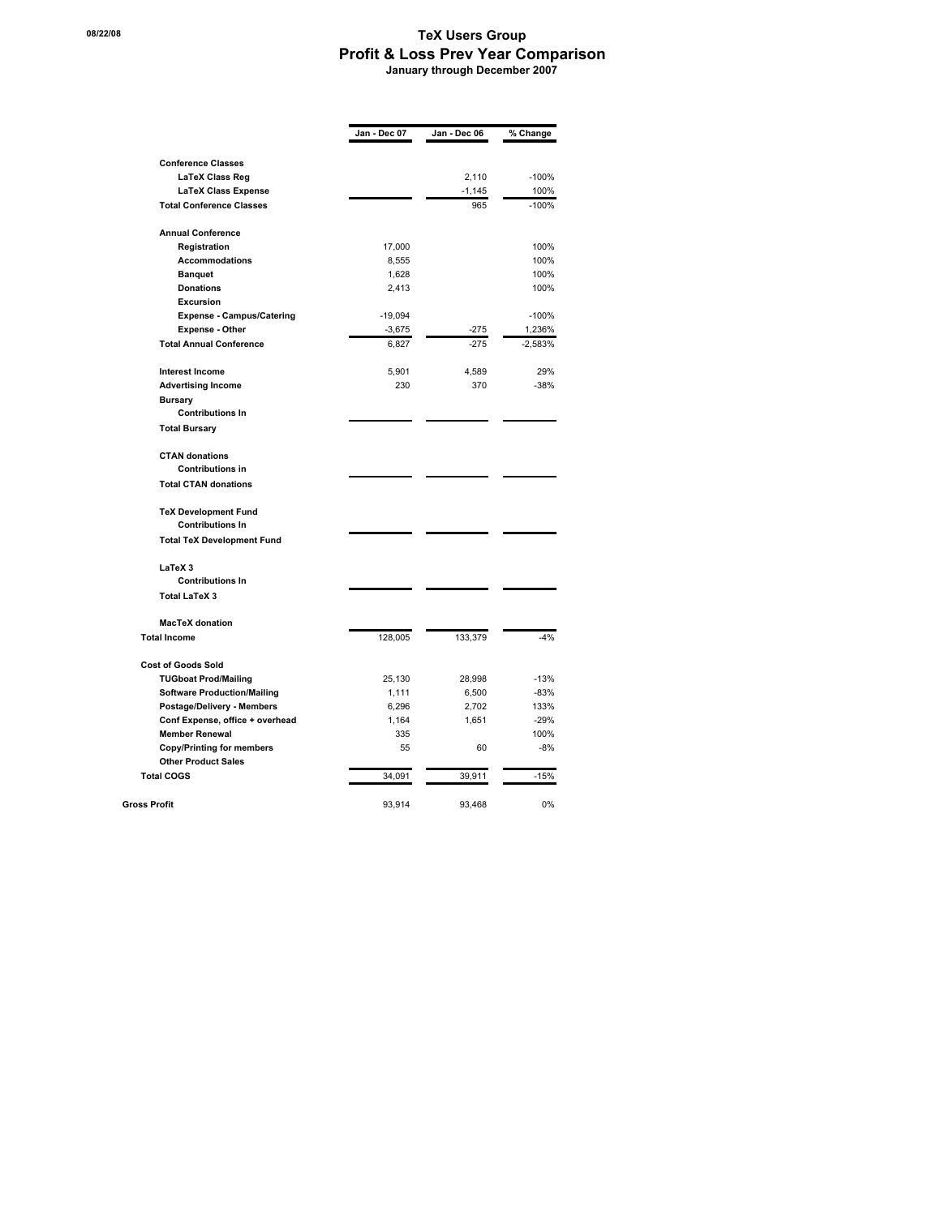## **18/22/08 TeX Users Group Profit & Loss Prev Year Comparison January through December 2007**

|                                    | Jan - Dec 07 | Jan - Dec 06 | % Change  |
|------------------------------------|--------------|--------------|-----------|
|                                    |              |              |           |
| <b>Conference Classes</b>          |              |              |           |
| LaTeX Class Reg                    |              | 2,110        | $-100%$   |
| <b>LaTeX Class Expense</b>         |              | $-1,145$     | 100%      |
| <b>Total Conference Classes</b>    |              | 965          | $-100%$   |
| <b>Annual Conference</b>           |              |              |           |
| Registration                       | 17,000       |              | 100%      |
| <b>Accommodations</b>              | 8,555        |              | 100%      |
| <b>Banguet</b>                     | 1,628        |              | 100%      |
| <b>Donations</b>                   | 2,413        |              | 100%      |
| <b>Excursion</b>                   |              |              |           |
| <b>Expense - Campus/Catering</b>   | $-19,094$    |              | $-100%$   |
| <b>Expense - Other</b>             | $-3,675$     | $-275$       | 1,236%    |
| <b>Total Annual Conference</b>     | 6.827        | $-275$       | $-2,583%$ |
| <b>Interest Income</b>             | 5,901        | 4,589        | 29%       |
| <b>Advertising Income</b>          | 230          | 370          | $-38%$    |
| <b>Bursary</b>                     |              |              |           |
| <b>Contributions In</b>            |              |              |           |
| <b>Total Bursary</b>               |              |              |           |
| <b>CTAN donations</b>              |              |              |           |
| <b>Contributions in</b>            |              |              |           |
| <b>Total CTAN donations</b>        |              |              |           |
| <b>TeX Development Fund</b>        |              |              |           |
| <b>Contributions In</b>            |              |              |           |
| <b>Total TeX Development Fund</b>  |              |              |           |
| LaTeX 3                            |              |              |           |
| <b>Contributions In</b>            |              |              |           |
| <b>Total LaTeX 3</b>               |              |              |           |
| <b>MacTeX</b> donation             |              |              |           |
| <b>Total Income</b>                | 128,005      | 133,379      | $-4%$     |
| <b>Cost of Goods Sold</b>          |              |              |           |
| <b>TUGboat Prod/Mailing</b>        | 25,130       | 28,998       | $-13%$    |
| <b>Software Production/Mailing</b> | 1,111        | 6,500        | $-83%$    |
| Postage/Delivery - Members         | 6,296        | 2,702        | 133%      |
| Conf Expense, office + overhead    | 1,164        | 1,651        | $-29%$    |
| <b>Member Renewal</b>              | 335          |              | 100%      |
| <b>Copy/Printing for members</b>   | 55           | 60           | $-8%$     |
| <b>Other Product Sales</b>         |              |              |           |
| <b>Total COGS</b>                  | 34,091       | 39,911       | $-15%$    |
| <b>Gross Profit</b>                | 93.914       | 93.468       | 0%        |
|                                    |              |              |           |